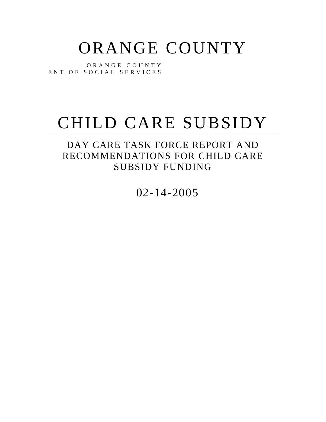# ORANGE COUNTY

O R A N G E C O U N T Y ENT OF SOCIAL SERVICES

# CHILD CARE SUBSIDY

DAY CARE TASK FORCE REPORT AND RECOMMENDATIONS FOR CHILD CARE SUBSIDY FUNDING

02-14-2005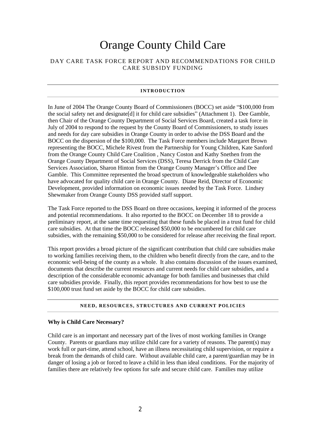# Orange County Child Care

# DAY CARE TASK FORCE REPORT AND RECOMMENDATIONS FOR CHILD CARE SUBSIDY FUNDING

# **INTRODUCTION**

In June of 2004 The Orange County Board of Commissioners (BOCC) set aside "\$100,000 from the social safety net and designate[d] it for child care subsidies" (Attachment 1). Dee Gamble, then Chair of the Orange County Department of Social Services Board, created a task force in July of 2004 to respond to the request by the County Board of Commissioners, to study issues and needs for day care subsidies in Orange County in order to advise the DSS Board and the BOCC on the dispersion of the \$100,000. The Task Force members include Margaret Brown representing the BOCC, Michele Rivest from the Partnership for Young Children, Kate Sanford from the Orange County Child Care Coalition , Nancy Coston and Kathy Snethen from the Orange County Department of Social Services (DSS), Teresa Derrick from the Child Care Services Association, Sharon Hinton from the Orange County Manager's Office and Dee Gamble. This Committee represented the broad spectrum of knowledgeable stakeholders who have advocated for quality child care in Orange County. Diane Reid, Director of Economic Development, provided information on economic issues needed by the Task Force. Lindsey Shewmaker from Orange County DSS provided staff support.

The Task Force reported to the DSS Board on three occasions, keeping it informed of the process and potential recommendations. It also reported to the BOCC on December 18 to provide a preliminary report, at the same time requesting that these funds be placed in a trust fund for child care subsidies. At that time the BOCC released \$50,000 to be encumbered for child care subsidies, with the remaining \$50,000 to be considered for release after receiving the final report.

This report provides a broad picture of the significant contribution that child care subsidies make to working families receiving them, to the children who benefit directly from the care, and to the economic well-being of the county as a whole. It also contains discussion of the issues examined, documents that describe the current resources and current needs for child care subsidies, and a description of the considerable economic advantage for both families and businesses that child care subsidies provide. Finally, this report provides recommendations for how best to use the \$100,000 trust fund set aside by the BOCC for child care subsidies.

### **NEED, RESOURCES, STRUCTURES AND CURRENT POLICIES**

# **Why is Child Care Necessary?**

Child care is an important and necessary part of the lives of most working families in Orange County. Parents or guardians may utilize child care for a variety of reasons. The parent(s) may work full or part-time, attend school, have an illness necessitating child supervision, or require a break from the demands of child care. Without available child care, a parent/guardian may be in danger of losing a job or forced to leave a child in less than ideal conditions. For the majority of families there are relatively few options for safe and secure child care. Families may utilize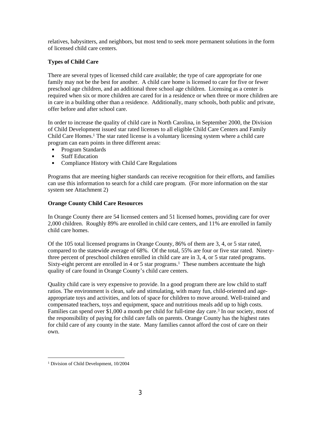relatives, babysitters, and neighbors, but most tend to seek more permanent solutions in the form of licensed child care centers.

# **Types of Child Care**

There are several types of licensed child care available; the type of care appropriate for one family may not be the best for another. A child care home is licensed to care for five or fewer preschool age children, and an additional three school age children. Licensing as a center is required when six or more children are cared for in a residence or when three or more children are in care in a building other than a residence. Additionally, many schools, both public and private, offer before and after school care.

In order to increase the quality of child care in North Carolina, in September 2000, the Division of Child Development issued star rated licenses to all eligible Child Care Centers and Family Child Care Homes.<sup>1</sup> The star rated license is a voluntary licensing system where a child care program can earn points in three different areas:

- **Program Standards**
- **Staff Education**
- Compliance History with Child Care Regulations

Programs that are meeting higher standards can receive recognition for their efforts, and families can use this information to search for a child care program. (For more information on the star system see Attachment 2)

# **Orange County Child Care Resources**

In Orange County there are 54 licensed centers and 51 licensed homes, providing care for over 2,000 children. Roughly 89% are enrolled in child care centers, and 11% are enrolled in family child care homes.

Of the 105 total licensed programs in Orange County, 86% of them are 3, 4, or 5 star rated, compared to the statewide average of 68%. Of the total, 55% are four or five star rated. Ninetythree percent of preschool children enrolled in child care are in 3, 4, or 5 star rated programs. Sixty-eight percent are enrolled in 4 or 5 star programs.<sup>1</sup> These numbers accentuate the high quality of care found in Orange County's child care centers.

Quality child care is very expensive to provide. In a good program there are low child to staff ratios. The environment is clean, safe and stimulating, with many fun, child-oriented and ageappropriate toys and activities, and lots of space for children to move around. Well-trained and compensated teachers, toys and equipment, space and nutritious meals add up to high costs. Families can spend over \$1,000 a month per child for full-time day care.<sup>3</sup> In our society, most of the responsibility of paying for child care falls on parents. Orange County has the highest rates for child care of any county in the state. Many families cannot afford the cost of care on their own.

<sup>1</sup> Division of Child Development, 10/2004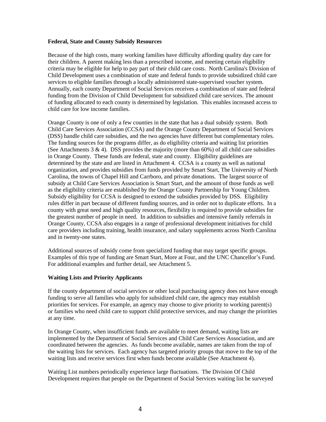#### **Federal, State and County Subsidy Resources**

Because of the high costs, many working families have difficulty affording quality day care for their children. A parent making less than a prescribed income, and meeting certain eligibility criteria may be eligible for help to pay part of their child care costs. North Carolina's Division of Child Development uses a combination of state and federal funds to provide subsidized child care services to eligible families through a locally administered state-supervised voucher system. Annually, each county Department of Social Services receives a combination of state and federal funding from the Division of Child Development for subsidized child care services. The amount of funding allocated to each county is determined by legislation. This enables increased access to child care for low income families.

Orange County is one of only a few counties in the state that has a dual subsidy system. Both Child Care Services Association (CCSA) and the Orange County Department of Social Services (DSS) handle child care subsidies, and the two agencies have different but complementary roles. The funding sources for the programs differ, as do eligibility criteria and waiting list priorities (See Attachments  $3 \& 4$ ). DSS provides the majority (more than 60%) of all child care subsidies in Orange County. These funds are federal, state and county. Eligibility guidelines are determined by the state and are listed in Attachment 4. CCSA is a county as well as national organization, and provides subsidies from funds provided by Smart Start, The University of North Carolina, the towns of Chapel Hill and Carrboro, and private donations. The largest source of subsidy at Child Care Services Association is Smart Start, and the amount of those funds as well as the eligibility criteria are established by the Orange County Partnership for Young Children. Subsidy eligibility for CCSA is designed to extend the subsidies provided by DSS. Eligibility rules differ in part because of different funding sources, and in order not to duplicate efforts. In a county with great need and high quality resources, flexibility is required to provide subsidies for the greatest number of people in need. In addition to subsidies and intensive family referrals in Orange County, CCSA also engages in a range of professional development initiatives for child care providers including training, health insurance, and salary supplements across North Carolina and in twenty-one states.

Additional sources of subsidy come from specialized funding that may target specific groups. Examples of this type of funding are Smart Start, More at Four, and the UNC Chancellor's Fund. For additional examples and further detail, see Attachment 5.

# **Waiting Lists and Priority Applicants**

If the county department of social services or other local purchasing agency does not have enough funding to serve all families who apply for subsidized child care, the agency may establish priorities for services. For example, an agency may choose to give priority to working parent(s) or families who need child care to support child protective services, and may change the priorities at any time.

In Orange County, when insufficient funds are available to meet demand, waiting lists are implemented by the Department of Social Services and Child Care Services Association, and are coordinated between the agencies. As funds become available, names are taken from the top of the waiting lists for services. Each agency has targeted priority groups that move to the top of the waiting lists and receive services first when funds become available (See Attachment 4).

Waiting List numbers periodically experience large fluctuations. The Division Of Child Development requires that people on the Department of Social Services waiting list be surveyed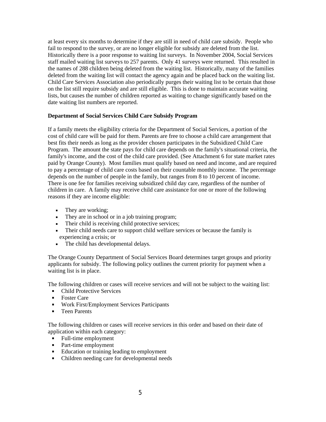at least every six months to determine if they are still in need of child care subsidy. People who fail to respond to the survey, or are no longer eligible for subsidy are deleted from the list. Historically there is a poor response to waiting list surveys. In November 2004, Social Services staff mailed waiting list surveys to 257 parents. Only 41 surveys were returned. This resulted in the names of 288 children being deleted from the waiting list. Historically, many of the families deleted from the waiting list will contact the agency again and be placed back on the waiting list. Child Care Services Association also periodically purges their waiting list to be certain that those on the list still require subsidy and are still eligible. This is done to maintain accurate waiting lists, but causes the number of children reported as waiting to change significantly based on the date waiting list numbers are reported.

# **Department of Social Services Child Care Subsidy Program**

If a family meets the eligibility criteria for the Department of Social Services, a portion of the cost of child care will be paid for them. Parents are free to choose a child care arrangement that best fits their needs as long as the provider chosen participates in the Subsidized Child Care Program. The amount the state pays for child care depends on the family's situational criteria, the family's income, and the cost of the child care provided. (See Attachment 6 for state market rates paid by Orange County). Most families must qualify based on need and income, and are required to pay a percentage of child care costs based on their countable monthly income. The percentage depends on the number of people in the family, but ranges from 8 to 10 percent of income. There is one fee for families receiving subsidized child day care, regardless of the number of children in care. A family may receive child care assistance for one or more of the following reasons if they are income eligible:

- They are working;
- They are in school or in a job training program;
- Their child is receiving child protective services;
- Their child needs care to support child welfare services or because the family is experiencing a crisis; or
- The child has developmental delays.

The Orange County Department of Social Services Board determines target groups and priority applicants for subsidy. The following policy outlines the current priority for payment when a waiting list is in place.

The following children or cases will receive services and will not be subject to the waiting list:

- Child Protective Services
- Foster Care
- **Work First/Employment Services Participants**
- Teen Parents

The following children or cases will receive services in this order and based on their date of application within each category:

- Full-time employment
- Part-time employment
- Education or training leading to employment
- Children needing care for developmental needs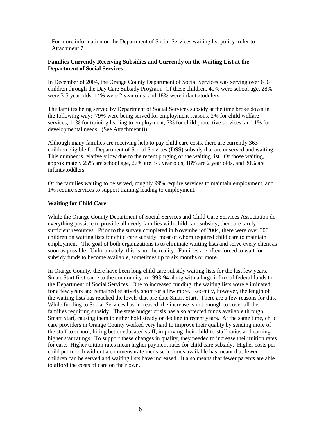For more information on the Department of Social Services waiting list policy, refer to Attachment 7.

# **Families Currently Receiving Subsidies and Currently on the Waiting List at the Department of Social Services**

In December of 2004, the Orange County Department of Social Services was serving over 656 children through the Day Care Subsidy Program. Of these children, 40% were school age, 28% were 3-5 year olds, 14% were 2 year olds, and 18% were infants/toddlers.

The families being served by Department of Social Services subsidy at the time broke down in the following way: 79% were being served for employment reasons, 2% for child welfare services, 11% for training leading to employment, 7% for child protective services, and 1% for developmental needs. (See Attachment 8)

Although many families are receiving help to pay child care costs, there are currently 363 children eligible for Department of Social Services (DSS) subsidy that are unserved and waiting. This number is relatively low due to the recent purging of the waiting list. Of those waiting, approximately 25% are school age, 27% are 3-5 year olds, 18% are 2 year olds, and 30% are infants/toddlers.

Of the families waiting to be served, roughly 99% require services to maintain employment, and 1% require services to support training leading to employment.

## **Waiting for Child Care**

While the Orange County Department of Social Services and Child Care Services Association do everything possible to provide all needy families with child care subsidy, there are rarely sufficient resources. Prior to the survey completed in November of 2004, there were over 300 children on waiting lists for child care subsidy, most of whom required child care to maintain employment. The goal of both organizations is to eliminate waiting lists and serve every client as soon as possible. Unfortunately, this is not the reality. Families are often forced to wait for subsidy funds to become available, sometimes up to six months or more.

In Orange County, there have been long child care subsidy waiting lists for the last few years. Smart Start first came to the community in 1993-94 along with a large influx of federal funds to the Department of Social Services. Due to increased funding, the waiting lists were eliminated for a few years and remained relatively short for a few more. Recently, however, the length of the waiting lists has reached the levels that pre-date Smart Start. There are a few reasons for this. While funding to Social Services has increased, the increase is not enough to cover all the families requiring subsidy. The state budget crisis has also affected funds available through Smart Start, causing them to either hold steady or decline in recent years. At the same time, child care providers in Orange County worked very hard to improve their quality by sending more of the staff to school, hiring better educated staff, improving their child-to-staff ratios and earning higher star ratings. To support these changes in quality, they needed to increase their tuition rates for care. Higher tuition rates mean higher payment rates for child care subsidy. Higher costs per child per month without a commensurate increase in funds available has meant that fewer children can be served and waiting lists have increased. It also means that fewer parents are able to afford the costs of care on their own.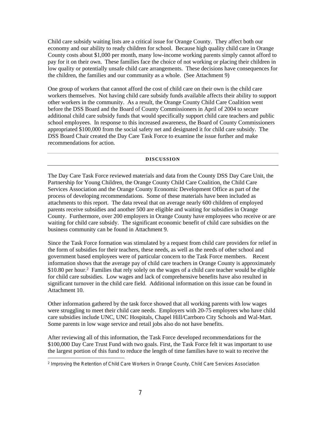Child care subsidy waiting lists are a critical issue for Orange County. They affect both our economy and our ability to ready children for school. Because high quality child care in Orange County costs about \$1,000 per month, many low-income working parents simply cannot afford to pay for it on their own. These families face the choice of not working or placing their children in low quality or potentially unsafe child care arrangements. These decisions have consequences for the children, the families and our community as a whole. (See Attachment 9)

One group of workers that cannot afford the cost of child care on their own is the child care workers themselves. Not having child care subsidy funds available affects their ability to support other workers in the community. As a result, the Orange County Child Care Coalition went before the DSS Board and the Board of County Commissioners in April of 2004 to secure additional child care subsidy funds that would specifically support child care teachers and public school employees. In response to this increased awareness, the Board of County Commissioners appropriated \$100,000 from the social safety net and designated it for child care subsidy. The DSS Board Chair created the Day Care Task Force to examine the issue further and make recommendations for action.

## **DISCUSSION**

The Day Care Task Force reviewed materials and data from the County DSS Day Care Unit, the Partnership for Young Children, the Orange County Child Care Coalition, the Child Care Services Association and the Orange County Economic Development Office as part of the process of developing recommendations. Some of these materials have been included as attachments to this report. The data reveal that on average nearly 600 children of employed parents receive subsidies and another 500 are eligible and waiting for subsidies in Orange County. Furthermore, over 200 employers in Orange County have employees who receive or are waiting for child care subsidy. The significant economic benefit of child care subsidies on the business community can be found in Attachment 9.

Since the Task Force formation was stimulated by a request from child care providers for relief in the form of subsidies for their teachers, these needs, as well as the needs of other school and government based employees were of particular concern to the Task Force members. Recent information shows that the average pay of child care teachers in Orange County is approximately \$10.80 per hour.<sup>2</sup> Families that rely solely on the wages of a child care teacher would be eligible for child care subsidies. Low wages and lack of comprehensive benefits have also resulted in significant turnover in the child care field. Additional information on this issue can be found in Attachment 10.

Other information gathered by the task force showed that all working parents with low wages were struggling to meet their child care needs. Employers with 20-75 employees who have child care subsidies include UNC, UNC Hospitals, Chapel Hill/Carrboro City Schools and Wal-Mart. Some parents in low wage service and retail jobs also do not have benefits.

After reviewing all of this information, the Task Force developed recommendations for the \$100,000 Day Care Trust Fund with two goals. First, the Task Force felt it was important to use the largest portion of this fund to reduce the length of time families have to wait to receive the

<sup>2</sup> *Improving the Retention of Child Care Workers in Orange County*, Child Care Services Association